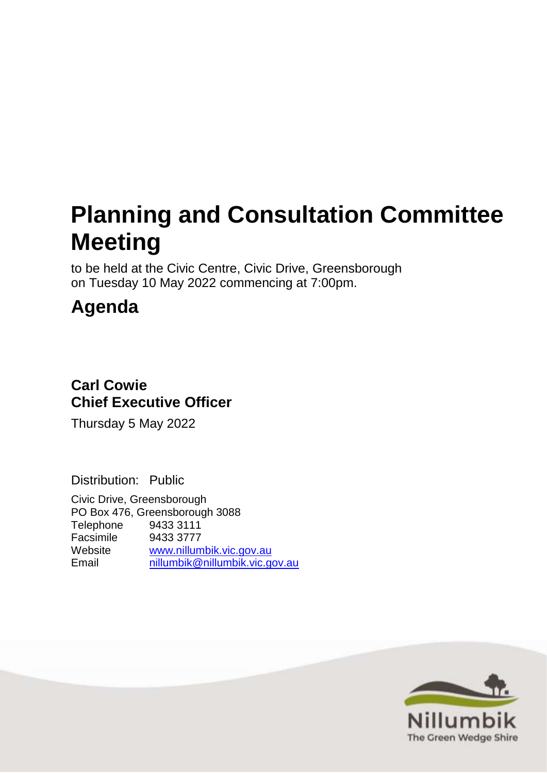# **Planning and Consultation Committee Meeting**

to be held at the Civic Centre, Civic Drive, Greensborough on Tuesday 10 May 2022 commencing at 7:00pm.

## **Agenda**

## **Carl Cowie Chief Executive Officer**

Thursday 5 May 2022

Distribution: Public

Civic Drive, Greensborough PO Box 476, Greensborough 3088 Telephone 9433 3111 Facsimile 9433 3777 Website <u>[www.nillumbik.vic.gov.au](http://www.nillumbik.vic.gov.au/)</u> [nillumbik@nillumbik.vic.gov.au](mailto:nillumbik@nillumbik.vic.gov.au)

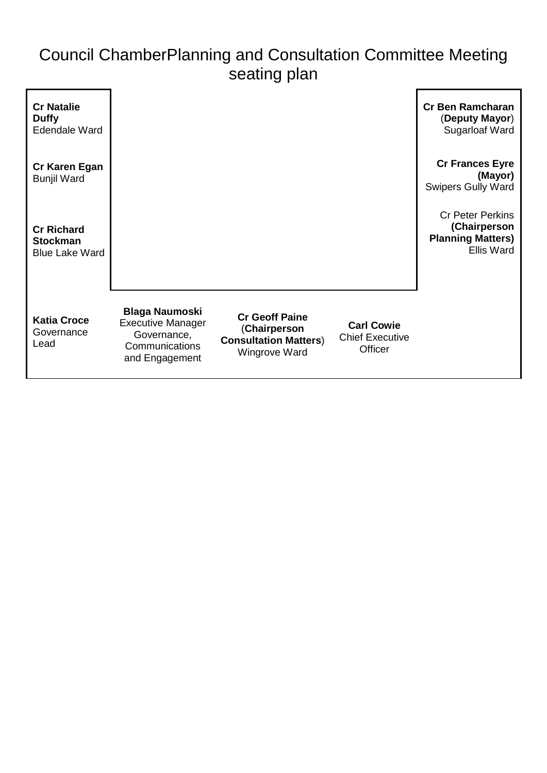## Council ChamberPlanning and Consultation Committee Meeting seating plan  $\overline{a}$

| <b>Cr Natalie</b><br><b>Duffy</b><br>Edendale Ward            |                                                                                                      |                                                                                        |                                                        | <b>Cr Ben Ramcharan</b><br>(Deputy Mayor)<br><b>Sugarloaf Ward</b>                       |
|---------------------------------------------------------------|------------------------------------------------------------------------------------------------------|----------------------------------------------------------------------------------------|--------------------------------------------------------|------------------------------------------------------------------------------------------|
| <b>Cr Karen Egan</b><br><b>Bunjil Ward</b>                    |                                                                                                      |                                                                                        |                                                        | <b>Cr Frances Eyre</b><br>(Mayor)<br><b>Swipers Gully Ward</b>                           |
| <b>Cr Richard</b><br><b>Stockman</b><br><b>Blue Lake Ward</b> |                                                                                                      |                                                                                        |                                                        | <b>Cr Peter Perkins</b><br>(Chairperson<br><b>Planning Matters)</b><br><b>Ellis Ward</b> |
| <b>Katia Croce</b><br>Governance<br>Lead                      | <b>Blaga Naumoski</b><br><b>Executive Manager</b><br>Governance,<br>Communications<br>and Engagement | <b>Cr Geoff Paine</b><br>(Chairperson<br><b>Consultation Matters)</b><br>Wingrove Ward | <b>Carl Cowie</b><br><b>Chief Executive</b><br>Officer |                                                                                          |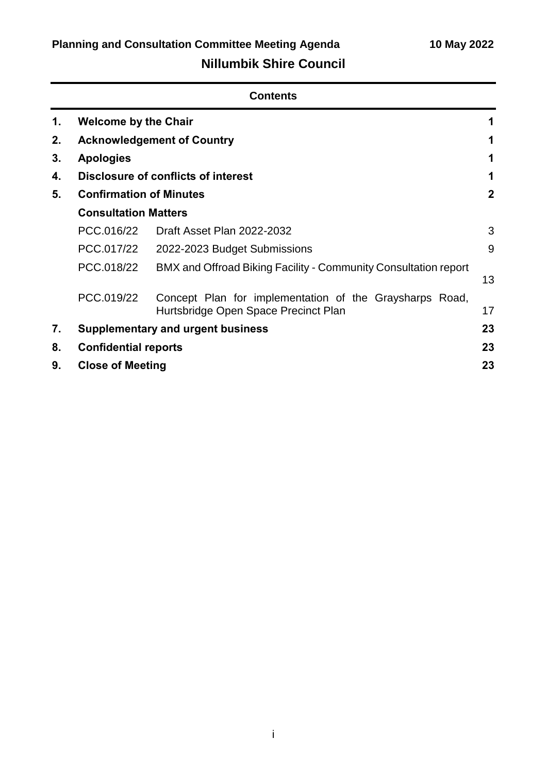|    |                                | <b>Contents</b>                                                                                 |              |
|----|--------------------------------|-------------------------------------------------------------------------------------------------|--------------|
| 1. | <b>Welcome by the Chair</b>    |                                                                                                 | 1            |
| 2. |                                | <b>Acknowledgement of Country</b>                                                               |              |
| 3. | <b>Apologies</b>               |                                                                                                 | 1            |
| 4. |                                | Disclosure of conflicts of interest                                                             | 1            |
| 5. | <b>Confirmation of Minutes</b> |                                                                                                 | $\mathbf{2}$ |
|    | <b>Consultation Matters</b>    |                                                                                                 |              |
|    | PCC.016/22                     | Draft Asset Plan 2022-2032                                                                      | 3            |
|    | PCC.017/22                     | 2022-2023 Budget Submissions                                                                    | 9            |
|    | PCC.018/22                     | BMX and Offroad Biking Facility - Community Consultation report                                 | 13           |
|    | PCC.019/22                     | Concept Plan for implementation of the Graysharps Road,<br>Hurtsbridge Open Space Precinct Plan | 17           |
| 7. |                                | <b>Supplementary and urgent business</b>                                                        | 23           |
| 8. | <b>Confidential reports</b>    |                                                                                                 | 23           |
| 9. | <b>Close of Meeting</b>        |                                                                                                 | 23           |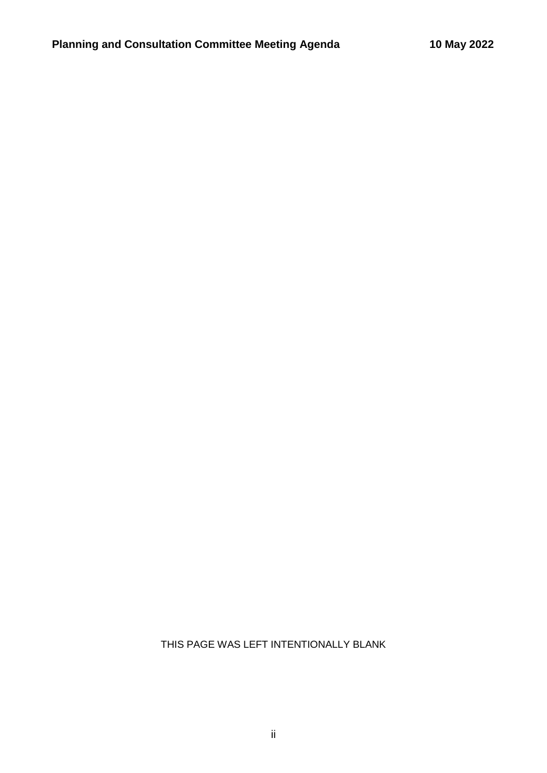## THIS PAGE WAS LEFT INTENTIONALLY BLANK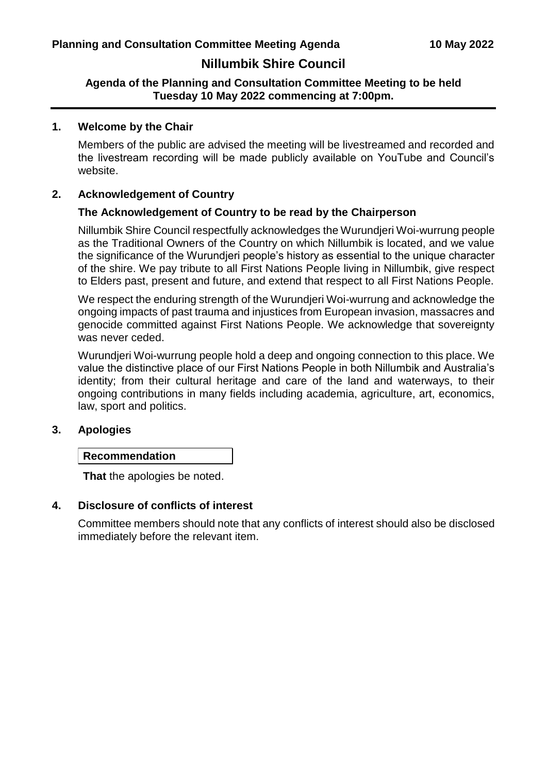## **Nillumbik Shire Council**

## **Agenda of the Planning and Consultation Committee Meeting to be held Tuesday 10 May 2022 commencing at 7:00pm.**

#### <span id="page-4-0"></span>**1. Welcome by the Chair**

Members of the public are advised the meeting will be livestreamed and recorded and the livestream recording will be made publicly available on YouTube and Council's website.

#### <span id="page-4-1"></span>**2. Acknowledgement of Country**

#### **The Acknowledgement of Country to be read by the Chairperson**

Nillumbik Shire Council respectfully acknowledges the Wurundjeri Woi-wurrung people as the Traditional Owners of the Country on which Nillumbik is located, and we value the significance of the Wurundjeri people's history as essential to the unique character of the shire. We pay tribute to all First Nations People living in Nillumbik, give respect to Elders past, present and future, and extend that respect to all First Nations People.

We respect the enduring strength of the Wurundjeri Woi-wurrung and acknowledge the ongoing impacts of past trauma and injustices from European invasion, massacres and genocide committed against First Nations People. We acknowledge that sovereignty was never ceded.

Wurundjeri Woi-wurrung people hold a deep and ongoing connection to this place. We value the distinctive place of our First Nations People in both Nillumbik and Australia's identity; from their cultural heritage and care of the land and waterways, to their ongoing contributions in many fields including academia, agriculture, art, economics, law, sport and politics.

#### <span id="page-4-2"></span>**3. Apologies**

#### **Recommendation**

**That** the apologies be noted.

#### <span id="page-4-3"></span>**4. Disclosure of conflicts of interest**

Committee members should note that any conflicts of interest should also be disclosed immediately before the relevant item.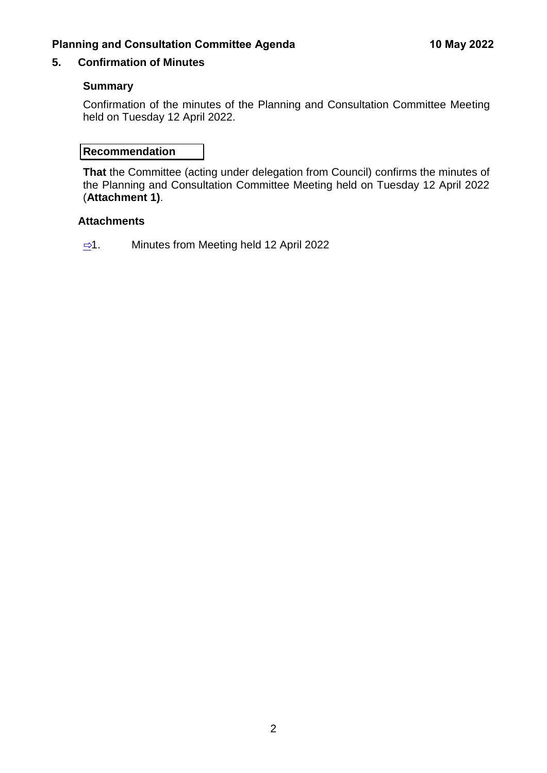#### <span id="page-5-0"></span>**5. Confirmation of Minutes**

## **Summary**

Confirmation of the minutes of the Planning and Consultation Committee Meeting held on Tuesday 12 April 2022.

#### **Recommendation**

**That** the Committee (acting under delegation from Council) confirms the minutes of the Planning and Consultation Committee Meeting held on Tuesday 12 April 2022 (**Attachment 1)**.

#### **Attachments**

[⇨](../../../RedirectToInvalidFileName.aspx?FileName=PCC_10052022_ATT_1188.PDF#PAGE=3)1. Minutes from Meeting held 12 April 2022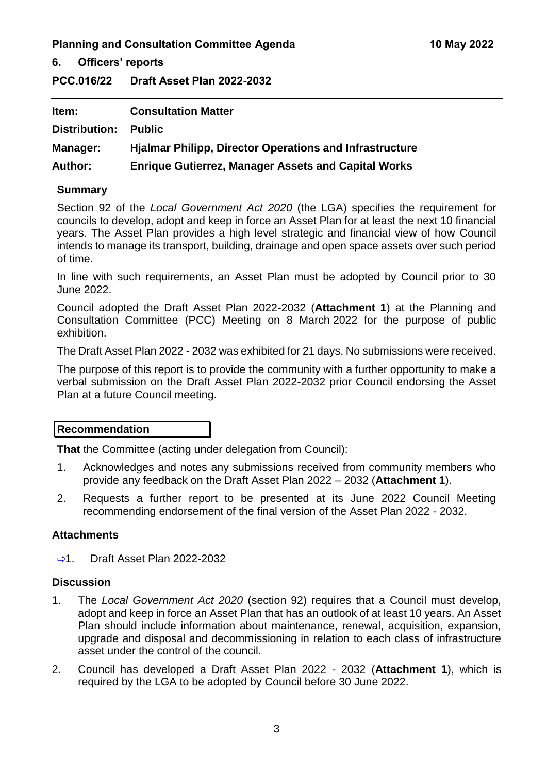#### <span id="page-6-0"></span>**6. Officers' reports**

<span id="page-6-1"></span>**PCC.016/22 Draft Asset Plan 2022-2032**

| ltem:                | <b>Consultation Matter</b>                                     |
|----------------------|----------------------------------------------------------------|
| <b>Distribution:</b> | <b>Public</b>                                                  |
| Manager:             | <b>Hialmar Philipp, Director Operations and Infrastructure</b> |
| Author:              | <b>Enrique Gutierrez, Manager Assets and Capital Works</b>     |

#### **Summary**

Section 92 of the *Local Government Act 2020* (the LGA) specifies the requirement for councils to develop, adopt and keep in force an Asset Plan for at least the next 10 financial years. The Asset Plan provides a high level strategic and financial view of how Council intends to manage its transport, building, drainage and open space assets over such period of time.

In line with such requirements, an Asset Plan must be adopted by Council prior to 30 June 2022.

Council adopted the Draft Asset Plan 2022-2032 (**Attachment 1**) at the Planning and Consultation Committee (PCC) Meeting on 8 March 2022 for the purpose of public exhibition.

The Draft Asset Plan 2022 - 2032 was exhibited for 21 days. No submissions were received.

The purpose of this report is to provide the community with a further opportunity to make a verbal submission on the Draft Asset Plan 2022-2032 prior Council endorsing the Asset Plan at a future Council meeting.

#### **Recommendation**

**That** the Committee (acting under delegation from Council):

- 1. Acknowledges and notes any submissions received from community members who provide any feedback on the Draft Asset Plan 2022 – 2032 (**Attachment 1**).
- 2. Requests a further report to be presented at its June 2022 Council Meeting recommending endorsement of the final version of the Asset Plan 2022 - 2032.

#### **Attachments**

[⇨](../../../RedirectToInvalidFileName.aspx?FileName=PCC_10052022_ATT_1188.PDF#PAGE=41)1. Draft Asset Plan 2022-2032

#### **Discussion**

- 1. The *Local Government Act 2020* (section 92) requires that a Council must develop, adopt and keep in force an Asset Plan that has an outlook of at least 10 years. An Asset Plan should include information about maintenance, renewal, acquisition, expansion, upgrade and disposal and decommissioning in relation to each class of infrastructure asset under the control of the council.
- 2. Council has developed a Draft Asset Plan 2022 2032 (**Attachment 1**), which is required by the LGA to be adopted by Council before 30 June 2022.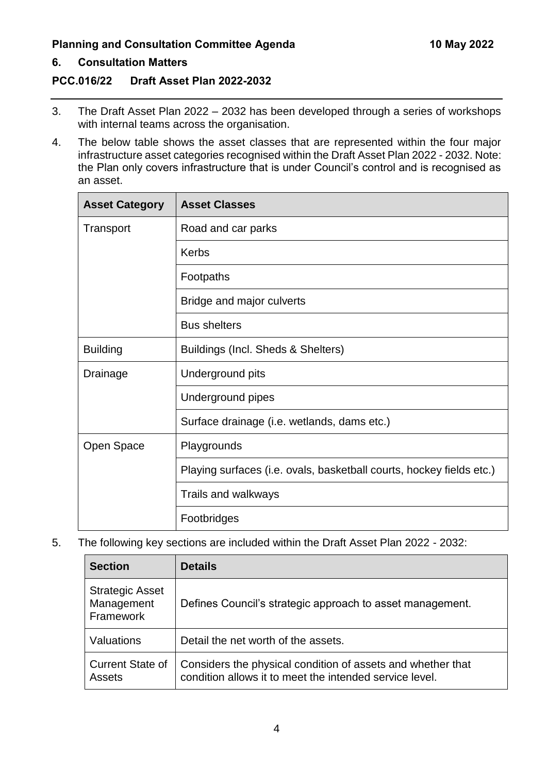## **6. Consultation Matters**

#### **PCC.016/22 Draft Asset Plan 2022-2032**

- 3. The Draft Asset Plan 2022 2032 has been developed through a series of workshops with internal teams across the organisation.
- 4. The below table shows the asset classes that are represented within the four major infrastructure asset categories recognised within the Draft Asset Plan 2022 - 2032. Note: the Plan only covers infrastructure that is under Council's control and is recognised as an asset.

| <b>Asset Category</b> | <b>Asset Classes</b>                                                 |
|-----------------------|----------------------------------------------------------------------|
| Transport             | Road and car parks                                                   |
|                       | <b>Kerbs</b>                                                         |
|                       | Footpaths                                                            |
|                       | Bridge and major culverts                                            |
|                       | <b>Bus shelters</b>                                                  |
| <b>Building</b>       | Buildings (Incl. Sheds & Shelters)                                   |
| Drainage              | Underground pits                                                     |
|                       | Underground pipes                                                    |
|                       | Surface drainage (i.e. wetlands, dams etc.)                          |
| Open Space            | Playgrounds                                                          |
|                       | Playing surfaces (i.e. ovals, basketball courts, hockey fields etc.) |
|                       | Trails and walkways                                                  |
|                       | Footbridges                                                          |

5. The following key sections are included within the Draft Asset Plan 2022 - 2032:

| <b>Section</b>                                    | <b>Details</b>                                                                                                         |
|---------------------------------------------------|------------------------------------------------------------------------------------------------------------------------|
| <b>Strategic Asset</b><br>Management<br>Framework | Defines Council's strategic approach to asset management.                                                              |
| Valuations                                        | Detail the net worth of the assets.                                                                                    |
| <b>Current State of</b><br>Assets                 | Considers the physical condition of assets and whether that<br>condition allows it to meet the intended service level. |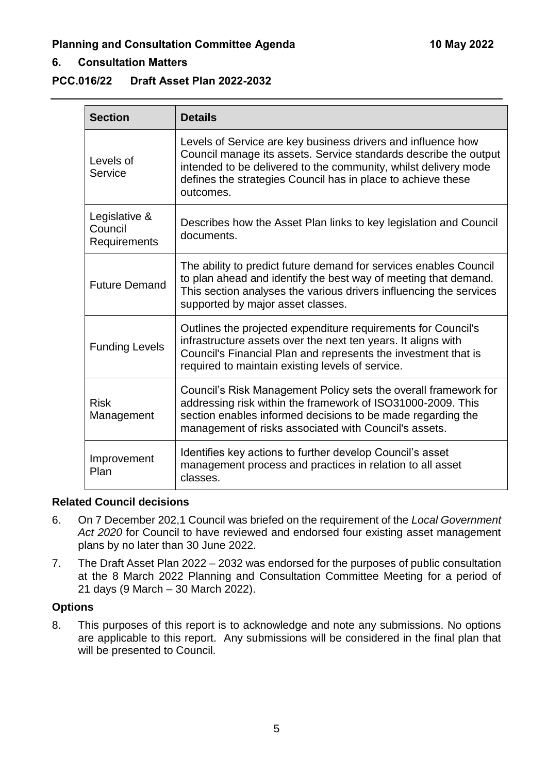#### **6. Consultation Matters**

#### **PCC.016/22 Draft Asset Plan 2022-2032**

| <b>Section</b>                           | <b>Details</b>                                                                                                                                                                                                                                                                   |
|------------------------------------------|----------------------------------------------------------------------------------------------------------------------------------------------------------------------------------------------------------------------------------------------------------------------------------|
| Levels of<br>Service                     | Levels of Service are key business drivers and influence how<br>Council manage its assets. Service standards describe the output<br>intended to be delivered to the community, whilst delivery mode<br>defines the strategies Council has in place to achieve these<br>outcomes. |
| Legislative &<br>Council<br>Requirements | Describes how the Asset Plan links to key legislation and Council<br>documents.                                                                                                                                                                                                  |
| <b>Future Demand</b>                     | The ability to predict future demand for services enables Council<br>to plan ahead and identify the best way of meeting that demand.<br>This section analyses the various drivers influencing the services<br>supported by major asset classes.                                  |
| <b>Funding Levels</b>                    | Outlines the projected expenditure requirements for Council's<br>infrastructure assets over the next ten years. It aligns with<br>Council's Financial Plan and represents the investment that is<br>required to maintain existing levels of service.                             |
| <b>Risk</b><br>Management                | Council's Risk Management Policy sets the overall framework for<br>addressing risk within the framework of ISO31000-2009. This<br>section enables informed decisions to be made regarding the<br>management of risks associated with Council's assets.                           |
| Improvement<br>Plan                      | Identifies key actions to further develop Council's asset<br>management process and practices in relation to all asset<br>classes.                                                                                                                                               |

#### **Related Council decisions**

- 6. On 7 December 202,1 Council was briefed on the requirement of the *Local Government Act 2020* for Council to have reviewed and endorsed four existing asset management plans by no later than 30 June 2022.
- 7. The Draft Asset Plan 2022 2032 was endorsed for the purposes of public consultation at the 8 March 2022 Planning and Consultation Committee Meeting for a period of 21 days (9 March – 30 March 2022).

#### **Options**

8. This purposes of this report is to acknowledge and note any submissions. No options are applicable to this report. Any submissions will be considered in the final plan that will be presented to Council.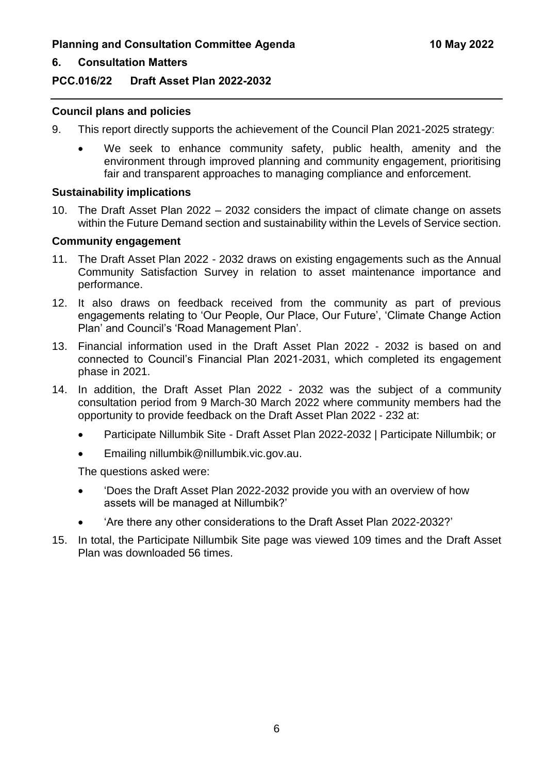#### **6. Consultation Matters**

#### **PCC.016/22 Draft Asset Plan 2022-2032**

#### **Council plans and policies**

- 9. This report directly supports the achievement of the Council Plan 2021-2025 strategy:
	- We seek to enhance community safety, public health, amenity and the environment through improved planning and community engagement, prioritising fair and transparent approaches to managing compliance and enforcement.

#### **Sustainability implications**

10. The Draft Asset Plan 2022 – 2032 considers the impact of climate change on assets within the Future Demand section and sustainability within the Levels of Service section.

#### **Community engagement**

- 11. The Draft Asset Plan 2022 2032 draws on existing engagements such as the Annual Community Satisfaction Survey in relation to asset maintenance importance and performance.
- 12. It also draws on feedback received from the community as part of previous engagements relating to 'Our People, Our Place, Our Future', 'Climate Change Action Plan' and Council's 'Road Management Plan'.
- 13. Financial information used in the Draft Asset Plan 2022 2032 is based on and connected to Council's Financial Plan 2021-2031, which completed its engagement phase in 2021.
- 14. In addition, the Draft Asset Plan 2022 2032 was the subject of a community consultation period from 9 March-30 March 2022 where community members had the opportunity to provide feedback on the Draft Asset Plan 2022 - 232 at:
	- Participate Nillumbik Site [Draft Asset Plan 2022-2032 | Participate Nillumbik;](https://participate.nillumbik.vic.gov.au/asset-plan) or
	- Emailing [nillumbik@nillumbik.vic.gov.au.](mailto:nillumbik@nillumbik.vic.gov.au)

The questions asked were:

- 'Does the Draft Asset Plan 2022-2032 provide you with an overview of how assets will be managed at Nillumbik?'
- 'Are there any other considerations to the Draft Asset Plan 2022-2032?'
- 15. In total, the Participate Nillumbik Site page was viewed 109 times and the Draft Asset Plan was downloaded 56 times.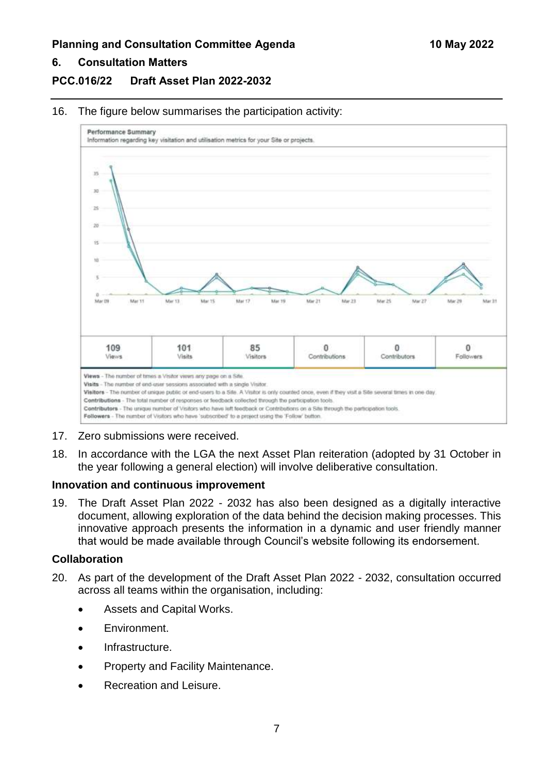#### **6. Consultation Matters**

#### **PCC.016/22 Draft Asset Plan 2022-2032**

#### 16. The figure below summarises the participation activity:



- 17. Zero submissions were received.
- 18. In accordance with the LGA the next Asset Plan reiteration (adopted by 31 October in the year following a general election) will involve deliberative consultation.

#### **Innovation and continuous improvement**

19. The Draft Asset Plan 2022 - 2032 has also been designed as a digitally interactive document, allowing exploration of the data behind the decision making processes. This innovative approach presents the information in a dynamic and user friendly manner that would be made available through Council's website following its endorsement.

#### **Collaboration**

- 20. As part of the development of the Draft Asset Plan 2022 2032, consultation occurred across all teams within the organisation, including:
	- Assets and Capital Works.
	- Environment.
	- Infrastructure.
	- Property and Facility Maintenance.
	- Recreation and Leisure.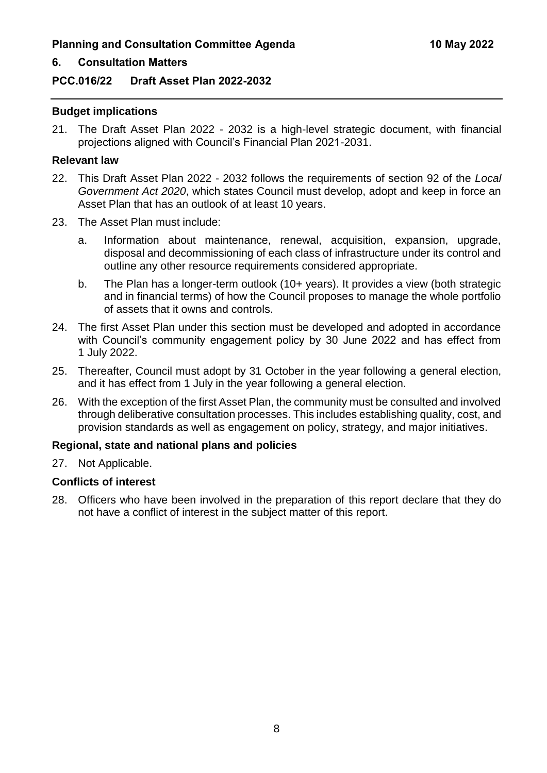#### **6. Consultation Matters**

#### **PCC.016/22 Draft Asset Plan 2022-2032**

#### **Budget implications**

21. The Draft Asset Plan 2022 - 2032 is a high-level strategic document, with financial projections aligned with Council's Financial Plan 2021-2031.

#### **Relevant law**

- 22. This Draft Asset Plan 2022 2032 follows the requirements of section 92 of the *Local Government Act 2020*, which states Council must develop, adopt and keep in force an Asset Plan that has an outlook of at least 10 years.
- 23. The Asset Plan must include:
	- a. Information about maintenance, renewal, acquisition, expansion, upgrade, disposal and decommissioning of each class of infrastructure under its control and outline any other resource requirements considered appropriate.
	- b. The Plan has a longer-term outlook (10+ years). It provides a view (both strategic and in financial terms) of how the Council proposes to manage the whole portfolio of assets that it owns and controls.
- 24. The first Asset Plan under this section must be developed and adopted in accordance with Council's community engagement policy by 30 June 2022 and has effect from 1 July 2022.
- 25. Thereafter, Council must adopt by 31 October in the year following a general election, and it has effect from 1 July in the year following a general election.
- 26. With the exception of the first Asset Plan, the community must be consulted and involved through deliberative consultation processes. This includes establishing quality, cost, and provision standards as well as engagement on policy, strategy, and major initiatives.

#### **Regional, state and national plans and policies**

27. Not Applicable.

#### **Conflicts of interest**

28. Officers who have been involved in the preparation of this report declare that they do not have a conflict of interest in the subject matter of this report.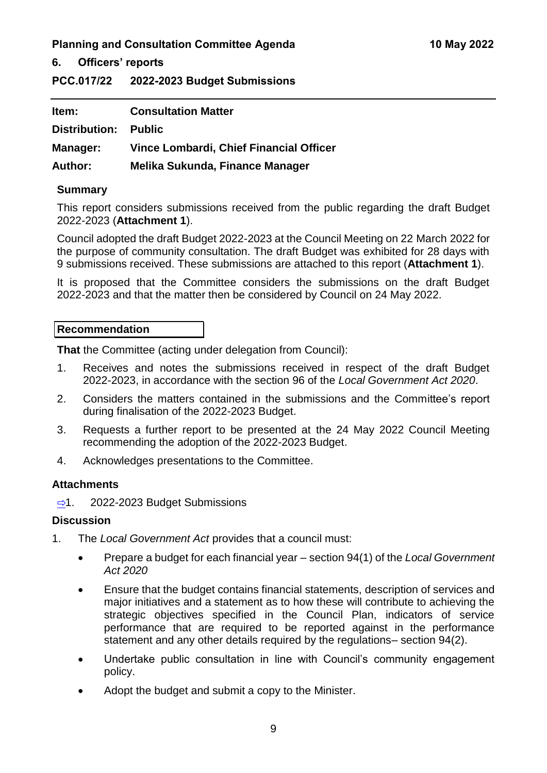#### **6. Officers' reports**

<span id="page-12-0"></span>**PCC.017/22 2022-2023 Budget Submissions**

| ltem:           | <b>Consultation Matter</b>              |
|-----------------|-----------------------------------------|
| Distribution:   | <b>Public</b>                           |
| <b>Manager:</b> | Vince Lombardi, Chief Financial Officer |
| Author:         | Melika Sukunda, Finance Manager         |

#### **Summary**

This report considers submissions received from the public regarding the draft Budget 2022-2023 (**Attachment 1**).

Council adopted the draft Budget 2022-2023 at the Council Meeting on 22 March 2022 for the purpose of community consultation. The draft Budget was exhibited for 28 days with 9 submissions received. These submissions are attached to this report (**Attachment 1**).

It is proposed that the Committee considers the submissions on the draft Budget 2022-2023 and that the matter then be considered by Council on 24 May 2022.

#### **Recommendation**

**That** the Committee (acting under delegation from Council):

- 1. Receives and notes the submissions received in respect of the draft Budget 2022-2023, in accordance with the section 96 of the *Local Government Act 2020*.
- 2. Considers the matters contained in the submissions and the Committee's report during finalisation of the 2022-2023 Budget.
- 3. Requests a further report to be presented at the 24 May 2022 Council Meeting recommending the adoption of the 2022-2023 Budget.
- 4. Acknowledges presentations to the Committee.

#### **Attachments**

[⇨](../../../RedirectToInvalidFileName.aspx?FileName=PCC_10052022_ATT_1188.PDF#PAGE=91)1. 2022-2023 Budget Submissions

#### **Discussion**

- 1. The *Local Government Act* provides that a council must:
	- Prepare a budget for each financial year section 94(1) of the *Local Government Act 2020*
	- Ensure that the budget contains financial statements, description of services and major initiatives and a statement as to how these will contribute to achieving the strategic objectives specified in the Council Plan, indicators of service performance that are required to be reported against in the performance statement and any other details required by the regulations– section 94(2).
	- Undertake public consultation in line with Council's community engagement policy.
	- Adopt the budget and submit a copy to the Minister.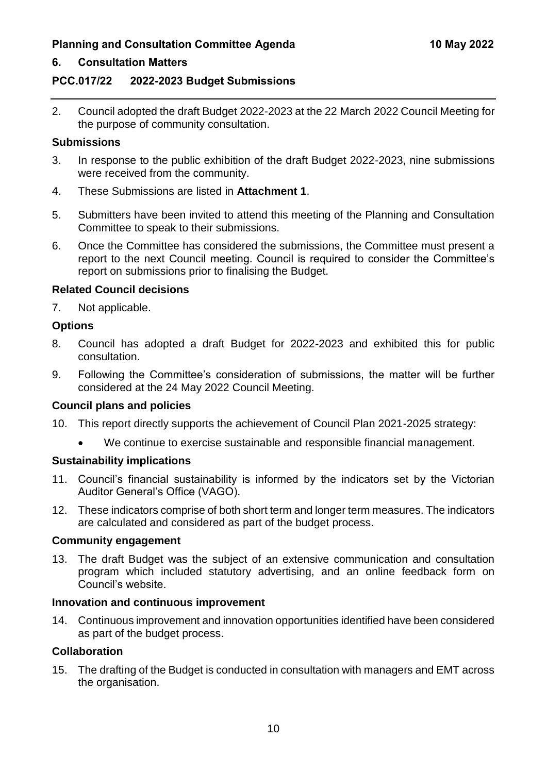## **6. Consultation Matters**

#### **PCC.017/22 2022-2023 Budget Submissions**

2. Council adopted the draft Budget 2022-2023 at the 22 March 2022 Council Meeting for the purpose of community consultation.

#### **Submissions**

- 3. In response to the public exhibition of the draft Budget 2022-2023, nine submissions were received from the community.
- 4. These Submissions are listed in **Attachment 1**.
- 5. Submitters have been invited to attend this meeting of the Planning and Consultation Committee to speak to their submissions.
- 6. Once the Committee has considered the submissions, the Committee must present a report to the next Council meeting. Council is required to consider the Committee's report on submissions prior to finalising the Budget.

#### **Related Council decisions**

7. Not applicable.

#### **Options**

- 8. Council has adopted a draft Budget for 2022-2023 and exhibited this for public consultation.
- 9. Following the Committee's consideration of submissions, the matter will be further considered at the 24 May 2022 Council Meeting.

#### **Council plans and policies**

- 10. This report directly supports the achievement of Council Plan 2021-2025 strategy:
	- We continue to exercise sustainable and responsible financial management.

#### **Sustainability implications**

- 11. Council's financial sustainability is informed by the indicators set by the Victorian Auditor General's Office (VAGO).
- 12. These indicators comprise of both short term and longer term measures. The indicators are calculated and considered as part of the budget process.

#### **Community engagement**

13. The draft Budget was the subject of an extensive communication and consultation program which included statutory advertising, and an online feedback form on Council's website.

#### **Innovation and continuous improvement**

14. Continuous improvement and innovation opportunities identified have been considered as part of the budget process.

#### **Collaboration**

15. The drafting of the Budget is conducted in consultation with managers and EMT across the organisation.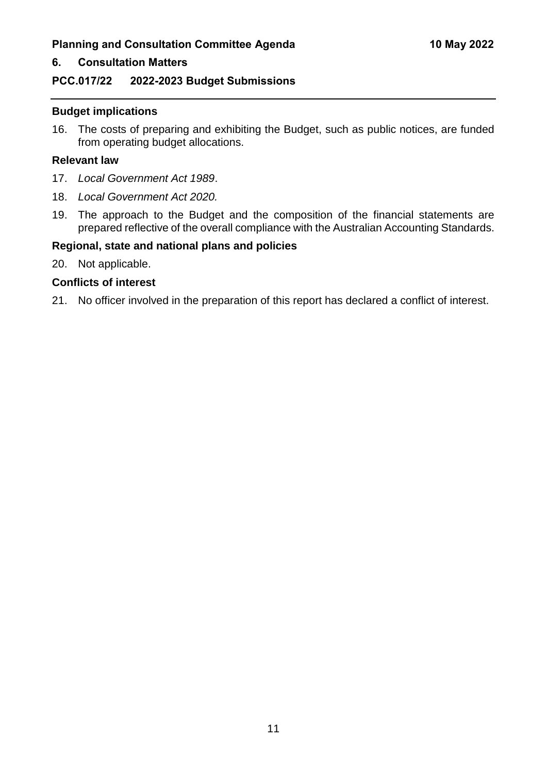#### **6. Consultation Matters**

#### **PCC.017/22 2022-2023 Budget Submissions**

#### **Budget implications**

16. The costs of preparing and exhibiting the Budget, such as public notices, are funded from operating budget allocations.

#### **Relevant law**

- 17. *Local Government Act 1989*.
- 18. *Local Government Act 2020.*
- 19. The approach to the Budget and the composition of the financial statements are prepared reflective of the overall compliance with the Australian Accounting Standards.

#### **Regional, state and national plans and policies**

20. Not applicable.

#### **Conflicts of interest**

21. No officer involved in the preparation of this report has declared a conflict of interest.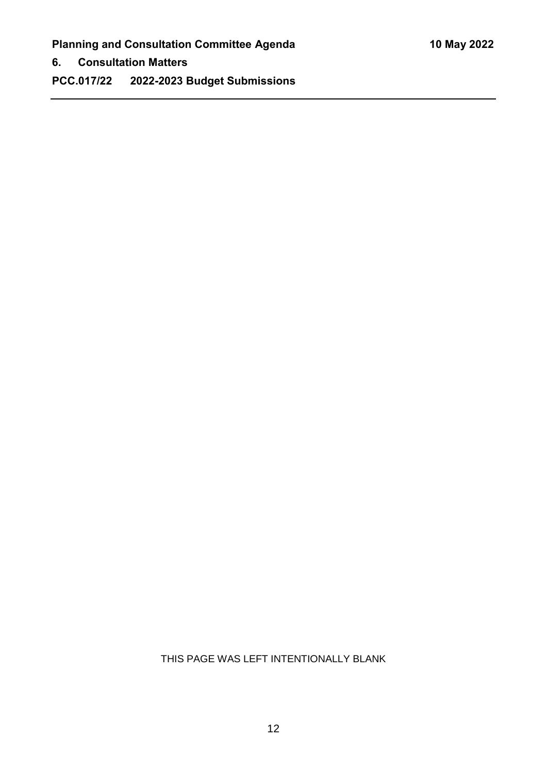**PCC.017/22 2022-2023 Budget Submissions**

## THIS PAGE WAS LEFT INTENTIONALLY BLANK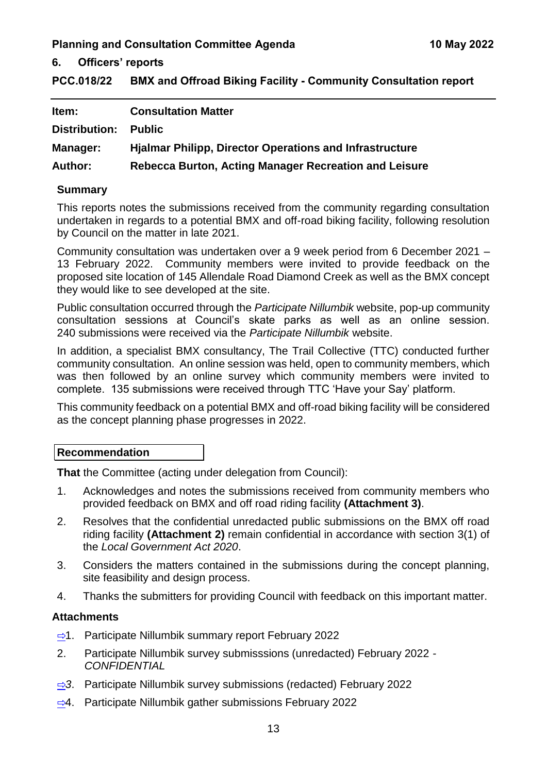**6. Officers' reports**

<span id="page-16-0"></span>**PCC.018/22 BMX and Offroad Biking Facility - Community Consultation report**

| Item:                | <b>Consultation Matter</b>                                     |
|----------------------|----------------------------------------------------------------|
| <b>Distribution:</b> | <b>Public</b>                                                  |
| <b>Manager:</b>      | <b>Hjalmar Philipp, Director Operations and Infrastructure</b> |
| Author:              | Rebecca Burton, Acting Manager Recreation and Leisure          |

#### **Summary**

This reports notes the submissions received from the community regarding consultation undertaken in regards to a potential BMX and off-road biking facility, following resolution by Council on the matter in late 2021.

Community consultation was undertaken over a 9 week period from 6 December 2021 – 13 February 2022. Community members were invited to provide feedback on the proposed site location of 145 Allendale Road Diamond Creek as well as the BMX concept they would like to see developed at the site.

Public consultation occurred through the *Participate Nillumbik* website, pop-up community consultation sessions at Council's skate parks as well as an online session. 240 submissions were received via the *Participate Nillumbik* website.

In addition, a specialist BMX consultancy, The Trail Collective (TTC) conducted further community consultation. An online session was held, open to community members, which was then followed by an online survey which community members were invited to complete. 135 submissions were received through TTC 'Have your Say' platform.

This community feedback on a potential BMX and off-road biking facility will be considered as the concept planning phase progresses in 2022.

#### **Recommendation**

**That** the Committee (acting under delegation from Council):

- 1. Acknowledges and notes the submissions received from community members who provided feedback on BMX and off road riding facility **(Attachment 3)**.
- 2. Resolves that the confidential unredacted public submissions on the BMX off road riding facility **(Attachment 2)** remain confidential in accordance with section 3(1) of the *Local Government Act 2020*.
- 3. Considers the matters contained in the submissions during the concept planning, site feasibility and design process.
- 4. Thanks the submitters for providing Council with feedback on this important matter.

#### **Attachments**

- [⇨](../../../RedirectToInvalidFileName.aspx?FileName=PCC_10052022_ATT_1188.PDF#PAGE=97)1. Participate Nillumbik summary report February 2022
- 2. Participate Nillumbik survey submisssions (unredacted) February 2022 *- CONFIDENTIAL*
- [⇨](../../../RedirectToInvalidFileName.aspx?FileName=PCC_10052022_ATT_1188.PDF#PAGE=113)*3*. Participate Nillumbik survey submissions (redacted) February 2022
- $\Rightarrow$ 4. Participate Nillumbik gather submissions February 2022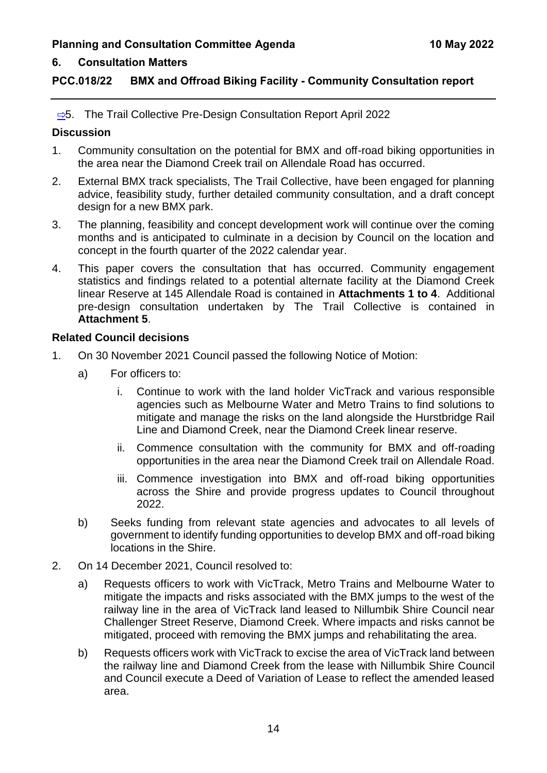#### **6. Consultation Matters**

## **PCC.018/22 BMX and Offroad Biking Facility - Community Consultation report**

[⇨](../../../RedirectToInvalidFileName.aspx?FileName=PCC_10052022_ATT_1188.PDF#PAGE=145)5. The Trail Collective Pre-Design Consultation Report April 2022

#### **Discussion**

- 1. Community consultation on the potential for BMX and off-road biking opportunities in the area near the Diamond Creek trail on Allendale Road has occurred.
- 2. External BMX track specialists, The Trail Collective, have been engaged for planning advice, feasibility study, further detailed community consultation, and a draft concept design for a new BMX park.
- 3. The planning, feasibility and concept development work will continue over the coming months and is anticipated to culminate in a decision by Council on the location and concept in the fourth quarter of the 2022 calendar year.
- 4. This paper covers the consultation that has occurred. Community engagement statistics and findings related to a potential alternate facility at the Diamond Creek linear Reserve at 145 Allendale Road is contained in **Attachments 1 to 4**. Additional pre-design consultation undertaken by The Trail Collective is contained in **Attachment 5**.

#### **Related Council decisions**

- 1. On 30 November 2021 Council passed the following Notice of Motion:
	- a) For officers to:
		- i. Continue to work with the land holder VicTrack and various responsible agencies such as Melbourne Water and Metro Trains to find solutions to mitigate and manage the risks on the land alongside the Hurstbridge Rail Line and Diamond Creek, near the Diamond Creek linear reserve.
		- ii. Commence consultation with the community for BMX and off-roading opportunities in the area near the Diamond Creek trail on Allendale Road.
		- iii. Commence investigation into BMX and off-road biking opportunities across the Shire and provide progress updates to Council throughout 2022.
	- b) Seeks funding from relevant state agencies and advocates to all levels of government to identify funding opportunities to develop BMX and off-road biking locations in the Shire.
- 2. On 14 December 2021, Council resolved to:
	- a) Requests officers to work with VicTrack, Metro Trains and Melbourne Water to mitigate the impacts and risks associated with the BMX jumps to the west of the railway line in the area of VicTrack land leased to Nillumbik Shire Council near Challenger Street Reserve, Diamond Creek. Where impacts and risks cannot be mitigated, proceed with removing the BMX jumps and rehabilitating the area.
	- b) Requests officers work with VicTrack to excise the area of VicTrack land between the railway line and Diamond Creek from the lease with Nillumbik Shire Council and Council execute a Deed of Variation of Lease to reflect the amended leased area.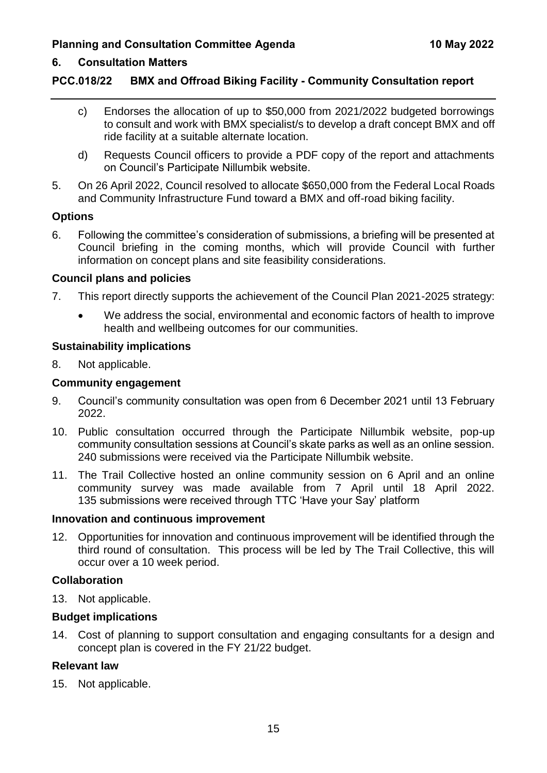#### **6. Consultation Matters**

## **PCC.018/22 BMX and Offroad Biking Facility - Community Consultation report**

- c) Endorses the allocation of up to \$50,000 from 2021/2022 budgeted borrowings to consult and work with BMX specialist/s to develop a draft concept BMX and off ride facility at a suitable alternate location.
- d) Requests Council officers to provide a PDF copy of the report and attachments on Council's Participate Nillumbik website.
- 5. On 26 April 2022, Council resolved to allocate \$650,000 from the Federal Local Roads and Community Infrastructure Fund toward a BMX and off-road biking facility.

#### **Options**

6. Following the committee's consideration of submissions, a briefing will be presented at Council briefing in the coming months, which will provide Council with further information on concept plans and site feasibility considerations.

#### **Council plans and policies**

- 7. This report directly supports the achievement of the Council Plan 2021-2025 strategy:
	- We address the social, environmental and economic factors of health to improve health and wellbeing outcomes for our communities.

#### **Sustainability implications**

8. Not applicable.

#### **Community engagement**

- 9. Council's community consultation was open from 6 December 2021 until 13 February 2022.
- 10. Public consultation occurred through the Participate Nillumbik website, pop-up community consultation sessions at Council's skate parks as well as an online session. 240 submissions were received via the Participate Nillumbik website.
- 11. The Trail Collective hosted an online community session on 6 April and an online community survey was made available from 7 April until 18 April 2022. 135 submissions were received through TTC 'Have your Say' platform

#### **Innovation and continuous improvement**

12. Opportunities for innovation and continuous improvement will be identified through the third round of consultation. This process will be led by The Trail Collective, this will occur over a 10 week period.

#### **Collaboration**

13. Not applicable.

#### **Budget implications**

14. Cost of planning to support consultation and engaging consultants for a design and concept plan is covered in the FY 21/22 budget.

#### **Relevant law**

15. Not applicable.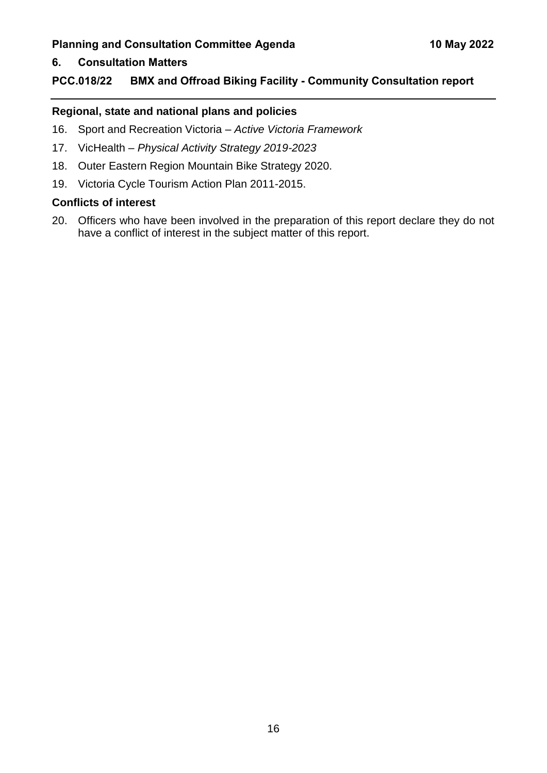#### **6. Consultation Matters**

#### **PCC.018/22 BMX and Offroad Biking Facility - Community Consultation report**

## **Regional, state and national plans and policies**

- 16. Sport and Recreation Victoria *Active Victoria Framework*
- 17. VicHealth *Physical Activity Strategy 2019-2023*
- 18. Outer Eastern Region Mountain Bike Strategy 2020.
- 19. Victoria Cycle Tourism Action Plan 2011-2015.

#### **Conflicts of interest**

20. Officers who have been involved in the preparation of this report declare they do not have a conflict of interest in the subject matter of this report.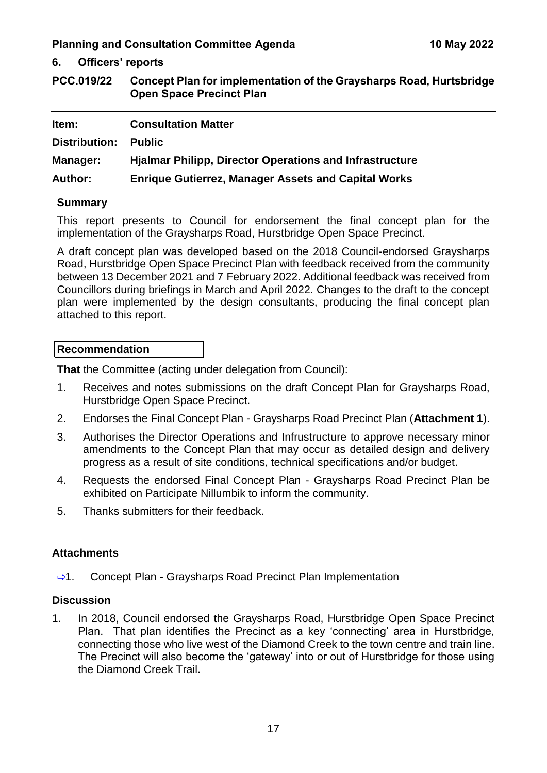**6. Officers' reports**

<span id="page-20-0"></span>**PCC.019/22 Concept Plan for implementation of the Graysharps Road, Hurtsbridge Open Space Precinct Plan**

| ltem:          | <b>Consultation Matter</b>                                     |
|----------------|----------------------------------------------------------------|
| Distribution:  | <b>Public</b>                                                  |
| Manager:       | <b>Hialmar Philipp, Director Operations and Infrastructure</b> |
| <b>Author:</b> | <b>Enrique Gutierrez, Manager Assets and Capital Works</b>     |

#### **Summary**

This report presents to Council for endorsement the final concept plan for the implementation of the Graysharps Road, Hurstbridge Open Space Precinct.

A draft concept plan was developed based on the 2018 Council-endorsed Graysharps Road, Hurstbridge Open Space Precinct Plan with feedback received from the community between 13 December 2021 and 7 February 2022. Additional feedback was received from Councillors during briefings in March and April 2022. Changes to the draft to the concept plan were implemented by the design consultants, producing the final concept plan attached to this report.

#### **Recommendation**

**That** the Committee (acting under delegation from Council):

- 1. Receives and notes submissions on the draft Concept Plan for Graysharps Road, Hurstbridge Open Space Precinct.
- 2. Endorses the Final Concept Plan Graysharps Road Precinct Plan (**Attachment 1**).
- 3. Authorises the Director Operations and Infrustructure to approve necessary minor amendments to the Concept Plan that may occur as detailed design and delivery progress as a result of site conditions, technical specifications and/or budget.
- 4. Requests the endorsed Final Concept Plan Graysharps Road Precinct Plan be exhibited on Participate Nillumbik to inform the community.
- 5. Thanks submitters for their feedback.

#### **Attachments**

[⇨](../../../RedirectToInvalidFileName.aspx?FileName=PCC_10052022_ATT_1188.PDF#PAGE=201)1. Concept Plan - Graysharps Road Precinct Plan Implementation

#### **Discussion**

1. In 2018, Council endorsed the Graysharps Road, Hurstbridge Open Space Precinct Plan. That plan identifies the Precinct as a key 'connecting' area in Hurstbridge, connecting those who live west of the Diamond Creek to the town centre and train line. The Precinct will also become the 'gateway' into or out of Hurstbridge for those using the Diamond Creek Trail.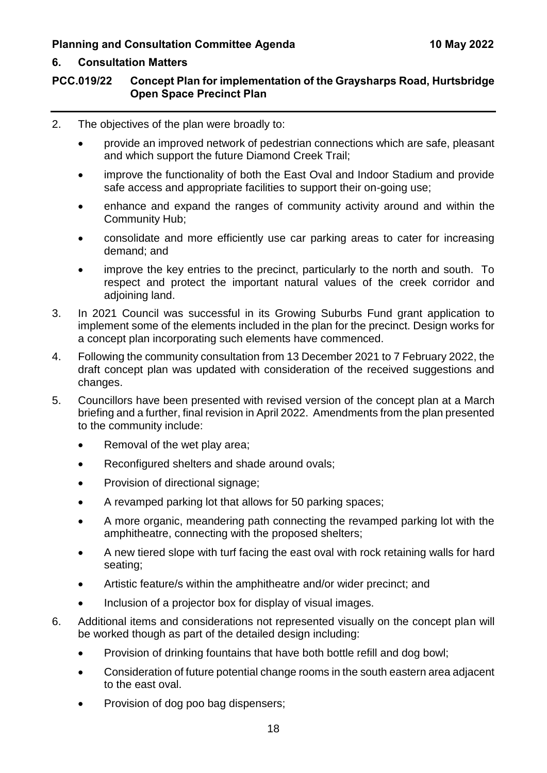## **6. Consultation Matters**

## **PCC.019/22 Concept Plan for implementation of the Graysharps Road, Hurtsbridge Open Space Precinct Plan**

- 2. The objectives of the plan were broadly to:
	- provide an improved network of pedestrian connections which are safe, pleasant and which support the future Diamond Creek Trail;
	- improve the functionality of both the East Oval and Indoor Stadium and provide safe access and appropriate facilities to support their on-going use;
	- enhance and expand the ranges of community activity around and within the Community Hub;
	- consolidate and more efficiently use car parking areas to cater for increasing demand; and
	- improve the key entries to the precinct, particularly to the north and south. To respect and protect the important natural values of the creek corridor and adjoining land.
- 3. In 2021 Council was successful in its Growing Suburbs Fund grant application to implement some of the elements included in the plan for the precinct. Design works for a concept plan incorporating such elements have commenced.
- 4. Following the community consultation from 13 December 2021 to 7 February 2022, the draft concept plan was updated with consideration of the received suggestions and changes.
- 5. Councillors have been presented with revised version of the concept plan at a March briefing and a further, final revision in April 2022. Amendments from the plan presented to the community include:
	- Removal of the wet play area;
	- Reconfigured shelters and shade around ovals:
	- Provision of directional signage;
	- A revamped parking lot that allows for 50 parking spaces;
	- A more organic, meandering path connecting the revamped parking lot with the amphitheatre, connecting with the proposed shelters;
	- A new tiered slope with turf facing the east oval with rock retaining walls for hard seating;
	- Artistic feature/s within the amphitheatre and/or wider precinct; and
	- Inclusion of a projector box for display of visual images.
- 6. Additional items and considerations not represented visually on the concept plan will be worked though as part of the detailed design including:
	- Provision of drinking fountains that have both bottle refill and dog bowl;
	- Consideration of future potential change rooms in the south eastern area adjacent to the east oval.
	- Provision of dog poo bag dispensers;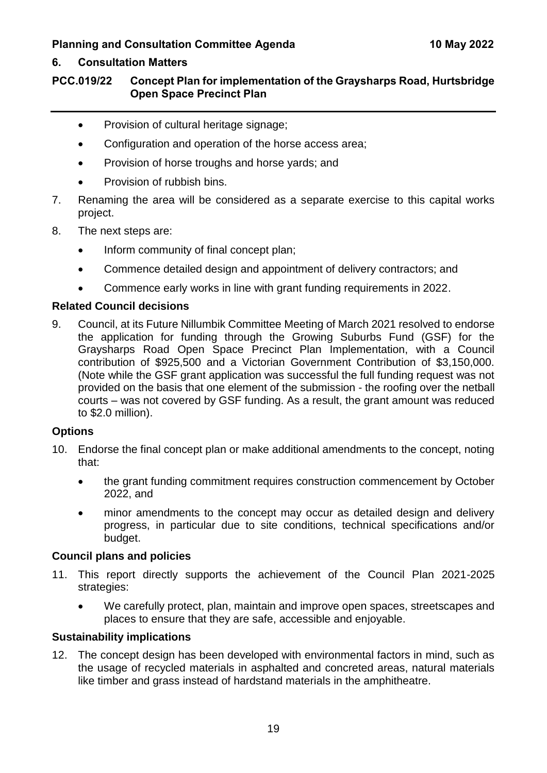## **6. Consultation Matters**

## **PCC.019/22 Concept Plan for implementation of the Graysharps Road, Hurtsbridge Open Space Precinct Plan**

- Provision of cultural heritage signage;
- Configuration and operation of the horse access area;
- Provision of horse troughs and horse vards; and
- Provision of rubbish bins.
- 7. Renaming the area will be considered as a separate exercise to this capital works project.
- 8. The next steps are:
	- Inform community of final concept plan;
	- Commence detailed design and appointment of delivery contractors: and
	- Commence early works in line with grant funding requirements in 2022.

#### **Related Council decisions**

9. Council, at its Future Nillumbik Committee Meeting of March 2021 resolved to endorse the application for funding through the Growing Suburbs Fund (GSF) for the Graysharps Road Open Space Precinct Plan Implementation, with a Council contribution of \$925,500 and a Victorian Government Contribution of \$3,150,000. (Note while the GSF grant application was successful the full funding request was not provided on the basis that one element of the submission - the roofing over the netball courts – was not covered by GSF funding. As a result, the grant amount was reduced to \$2.0 million).

#### **Options**

- 10. Endorse the final concept plan or make additional amendments to the concept, noting that:
	- the grant funding commitment requires construction commencement by October 2022, and
	- minor amendments to the concept may occur as detailed design and delivery progress, in particular due to site conditions, technical specifications and/or budget.

#### **Council plans and policies**

- 11. This report directly supports the achievement of the Council Plan 2021-2025 strategies:
	- We carefully protect, plan, maintain and improve open spaces, streetscapes and places to ensure that they are safe, accessible and enjoyable.

#### **Sustainability implications**

12. The concept design has been developed with environmental factors in mind, such as the usage of recycled materials in asphalted and concreted areas, natural materials like timber and grass instead of hardstand materials in the amphitheatre.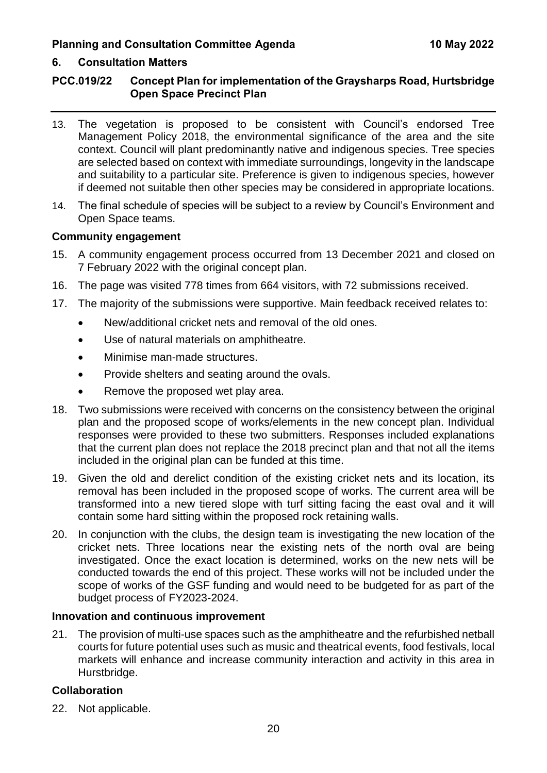## **6. Consultation Matters**

## **PCC.019/22 Concept Plan for implementation of the Graysharps Road, Hurtsbridge Open Space Precinct Plan**

- 13. The vegetation is proposed to be consistent with Council's endorsed Tree Management Policy 2018, the environmental significance of the area and the site context. Council will plant predominantly native and indigenous species. Tree species are selected based on context with immediate surroundings, longevity in the landscape and suitability to a particular site. Preference is given to indigenous species, however if deemed not suitable then other species may be considered in appropriate locations.
- 14. The final schedule of species will be subject to a review by Council's Environment and Open Space teams.

#### **Community engagement**

- 15. A community engagement process occurred from 13 December 2021 and closed on 7 February 2022 with the original concept plan.
- 16. The page was visited 778 times from 664 visitors, with 72 submissions received.
- 17. The majority of the submissions were supportive. Main feedback received relates to:
	- New/additional cricket nets and removal of the old ones.
	- Use of natural materials on amphitheatre.
	- Minimise man-made structures.
	- Provide shelters and seating around the ovals.
	- Remove the proposed wet play area.
- 18. Two submissions were received with concerns on the consistency between the original plan and the proposed scope of works/elements in the new concept plan. Individual responses were provided to these two submitters. Responses included explanations that the current plan does not replace the 2018 precinct plan and that not all the items included in the original plan can be funded at this time.
- 19. Given the old and derelict condition of the existing cricket nets and its location, its removal has been included in the proposed scope of works. The current area will be transformed into a new tiered slope with turf sitting facing the east oval and it will contain some hard sitting within the proposed rock retaining walls.
- 20. In conjunction with the clubs, the design team is investigating the new location of the cricket nets. Three locations near the existing nets of the north oval are being investigated. Once the exact location is determined, works on the new nets will be conducted towards the end of this project. These works will not be included under the scope of works of the GSF funding and would need to be budgeted for as part of the budget process of FY2023-2024.

#### **Innovation and continuous improvement**

21. The provision of multi-use spaces such as the amphitheatre and the refurbished netball courts for future potential uses such as music and theatrical events, food festivals, local markets will enhance and increase community interaction and activity in this area in Hurstbridge.

#### **Collaboration**

22. Not applicable.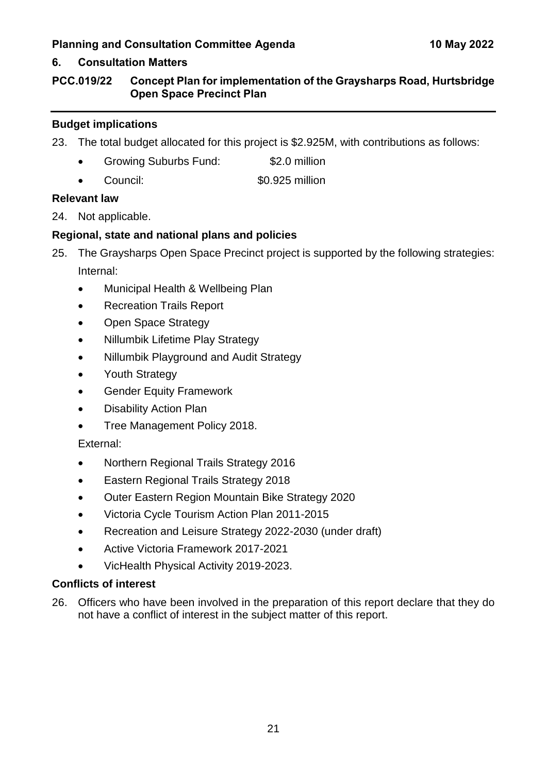## **6. Consultation Matters**

## **PCC.019/22 Concept Plan for implementation of the Graysharps Road, Hurtsbridge Open Space Precinct Plan**

## **Budget implications**

- 23. The total budget allocated for this project is \$2.925M, with contributions as follows:
	- Growing Suburbs Fund: \$2.0 million
	- Council: \$0.925 million

## **Relevant law**

24. Not applicable.

## **Regional, state and national plans and policies**

- 25. The Graysharps Open Space Precinct project is supported by the following strategies: Internal:
	- Municipal Health & Wellbeing Plan
	- Recreation Trails Report
	- Open Space Strategy
	- Nillumbik Lifetime Play Strategy
	- Nillumbik Playground and Audit Strategy
	- Youth Strategy
	- **Gender Equity Framework**
	- Disability Action Plan
	- Tree Management Policy 2018.

## External:

- Northern Regional Trails Strategy 2016
- **Eastern Regional Trails Strategy 2018**
- Outer Eastern Region Mountain Bike Strategy 2020
- Victoria Cycle Tourism Action Plan 2011-2015
- Recreation and Leisure Strategy 2022-2030 (under draft)
- Active Victoria Framework 2017-2021
- VicHealth Physical Activity 2019-2023.

## **Conflicts of interest**

26. Officers who have been involved in the preparation of this report declare that they do not have a conflict of interest in the subject matter of this report.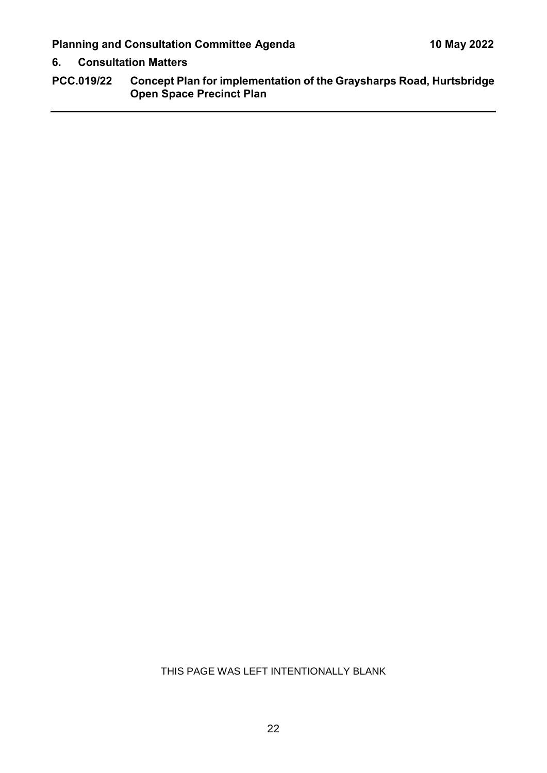## **6. Consultation Matters**

**PCC.019/22 Concept Plan for implementation of the Graysharps Road, Hurtsbridge Open Space Precinct Plan**

## THIS PAGE WAS LEFT INTENTIONALLY BLANK